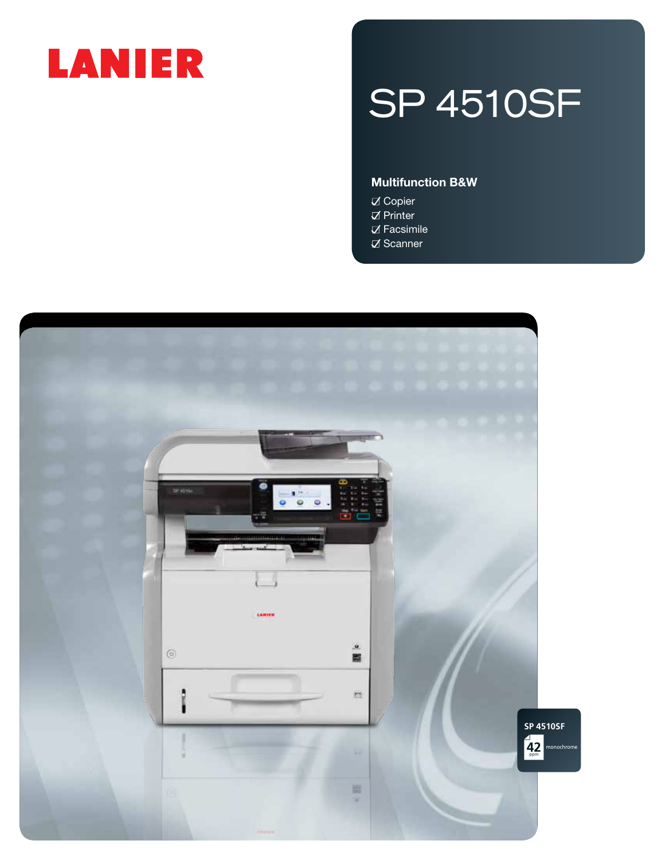# LANIER

# SP 4510SF

### Multifunction B&W

**Ø** Copier  $\nabla$  Printer  $\nabla$  Facsimile  $\nabla$  Scanner

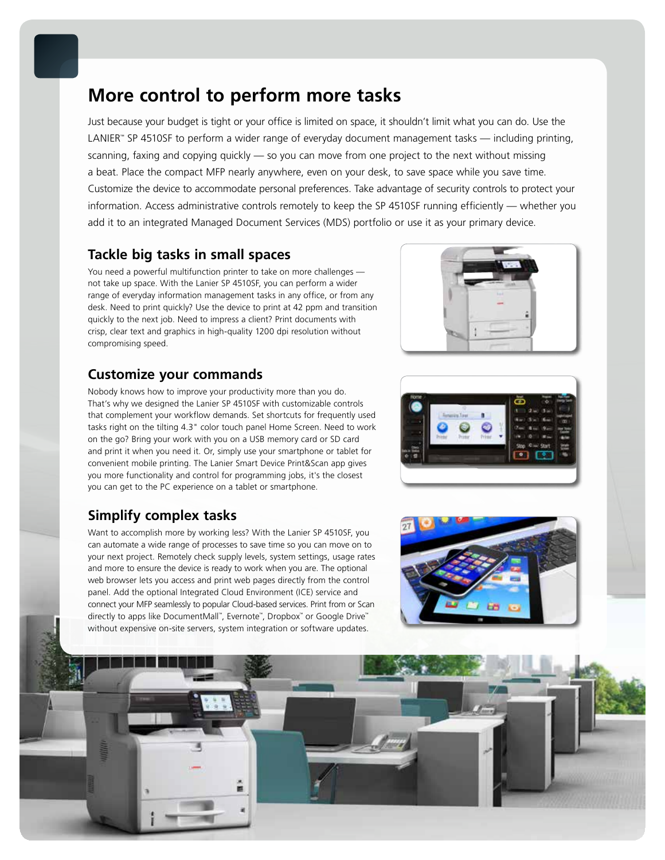## **More control to perform more tasks**

Just because your budget is tight or your office is limited on space, it shouldn't limit what you can do. Use the LANIER™ SP 4510SF to perform a wider range of everyday document management tasks — including printing, scanning, faxing and copying quickly - so you can move from one project to the next without missing a beat. Place the compact MFP nearly anywhere, even on your desk, to save space while you save time. Customize the device to accommodate personal preferences. Take advantage of security controls to protect your information. Access administrative controls remotely to keep the SP 4510SF running efficiently — whether you add it to an integrated Managed Document Services (MDS) portfolio or use it as your primary device.

### **Tackle big tasks in small spaces**

You need a powerful multifunction printer to take on more challenges not take up space. With the Lanier SP 4510SF, you can perform a wider range of everyday information management tasks in any office, or from any desk. Need to print quickly? Use the device to print at 42 ppm and transition quickly to the next job. Need to impress a client? Print documents with crisp, clear text and graphics in high-quality 1200 dpi resolution without compromising speed.

## **Customize your commands**

Nobody knows how to improve your productivity more than you do. That's why we designed the Lanier SP 4510SF with customizable controls that complement your workflow demands. Set shortcuts for frequently used tasks right on the tilting 4.3" color touch panel Home Screen. Need to work on the go? Bring your work with you on a USB memory card or SD card and print it when you need it. Or, simply use your smartphone or tablet for convenient mobile printing. The Lanier Smart Device Print&Scan app gives you more functionality and control for programming jobs, it's the closest you can get to the PC experience on a tablet or smartphone.

## **Simplify complex tasks**

Want to accomplish more by working less? With the Lanier SP 4510SF, you can automate a wide range of processes to save time so you can move on to your next project. Remotely check supply levels, system settings, usage rates and more to ensure the device is ready to work when you are. The optional web browser lets you access and print web pages directly from the control panel. Add the optional Integrated Cloud Environment (ICE) service and connect your MFP seamlessly to popular Cloud-based services. Print from or Scan directly to apps like DocumentMall™ , Evernote™ , Dropbox™ or Google Drive™ without expensive on-site servers, system integration or software updates.







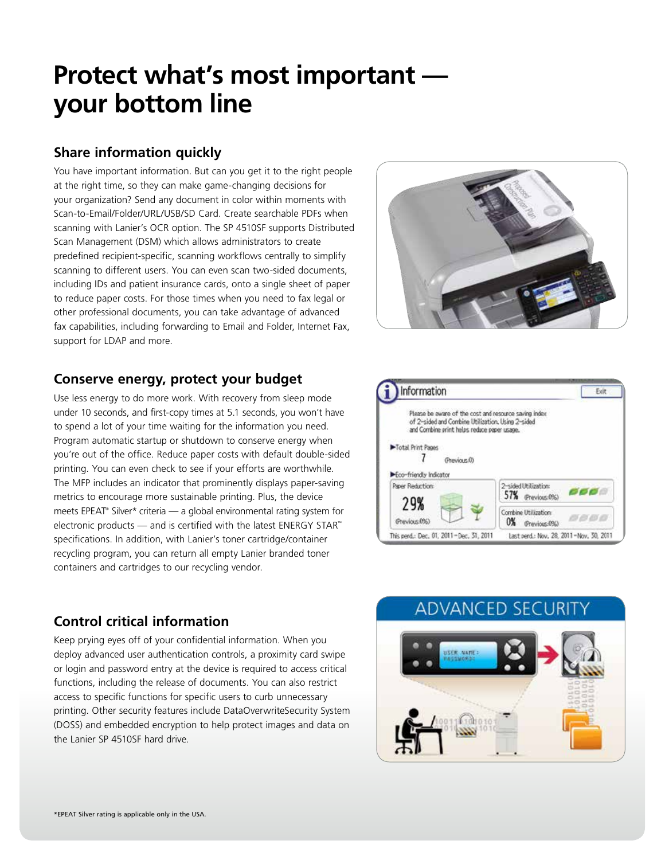## **Protect what's most important your bottom line**

## **Share information quickly**

You have important information. But can you get it to the right people at the right time, so they can make game-changing decisions for your organization? Send any document in color within moments with Scan-to-Email/Folder/URL/USB/SD Card. Create searchable PDFs when scanning with Lanier's OCR option. The SP 4510SF supports Distributed Scan Management (DSM) which allows administrators to create predefined recipient-specific, scanning workflows centrally to simplify scanning to different users. You can even scan two-sided documents, including IDs and patient insurance cards, onto a single sheet of paper to reduce paper costs. For those times when you need to fax legal or other professional documents, you can take advantage of advanced fax capabilities, including forwarding to Email and Folder, Internet Fax, support for LDAP and more.



## **Conserve energy, protect your budget**

Use less energy to do more work. With recovery from sleep mode under 10 seconds, and first-copy times at 5.1 seconds, you won't have to spend a lot of your time waiting for the information you need. Program automatic startup or shutdown to conserve energy when you're out of the office. Reduce paper costs with default double-sided printing. You can even check to see if your efforts are worthwhile. The MFP includes an indicator that prominently displays paper-saving metrics to encourage more sustainable printing. Plus, the device meets EPEAT® Silver\* criteria — a global environmental rating system for electronic products — and is certified with the latest ENERGY STAR™ specifications. In addition, with Lanier's toner cartridge/container recycling program, you can return all empty Lanier branded toner containers and cartridges to our recycling vendor.



## **Control critical information**

Keep prying eyes off of your confidential information. When you deploy advanced user authentication controls, a proximity card swipe or login and password entry at the device is required to access critical functions, including the release of documents. You can also restrict access to specific functions for specific users to curb unnecessary printing. Other security features include DataOverwriteSecurity System (DOSS) and embedded encryption to help protect images and data on the Lanier SP 4510SF hard drive.

## **ADVANCED SECURITY**